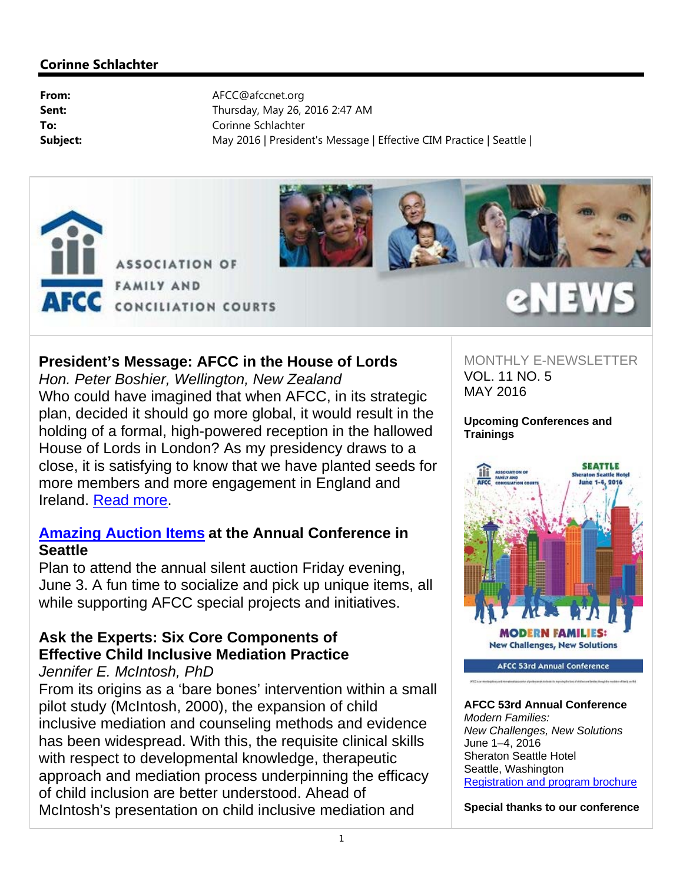



### **President's Message: AFCC in the House of Lords**

*Hon. Peter Boshier, Wellington, New Zealand* Who could have imagined that when AFCC, in its strategic plan, decided it should go more global, it would result in the holding of a formal, high-powered reception in the hallowed House of Lords in London? As my presidency draws to a close, it is satisfying to know that we have planted seeds for more members and more engagement in England and Ireland. Read more.

### **Amazing Auction Items at the Annual Conference in Seattle**

Plan to attend the annual silent auction Friday evening, June 3. A fun time to socialize and pick up unique items, all while supporting AFCC special projects and initiatives.

## **Ask the Experts: Six Core Components of Effective Child Inclusive Mediation Practice**

*Jennifer E. McIntosh, PhD*

From its origins as a 'bare bones' intervention within a small pilot study (McIntosh, 2000), the expansion of child inclusive mediation and counseling methods and evidence has been widespread. With this, the requisite clinical skills with respect to developmental knowledge, therapeutic approach and mediation process underpinning the efficacy of child inclusion are better understood. Ahead of McIntosh's presentation on child inclusive mediation and

MONTHLY E-NEWSLETTER VOL. 11 NO. 5 MAY 2016

eNEWS

**Upcoming Conferences and Trainings**



**AFCC 53rd Annual Conference**  *Modern Families: New Challenges, New Solutions* June 1–4, 2016 Sheraton Seattle Hotel Seattle, Washington Registration and program brochure

**Special thanks to our conference**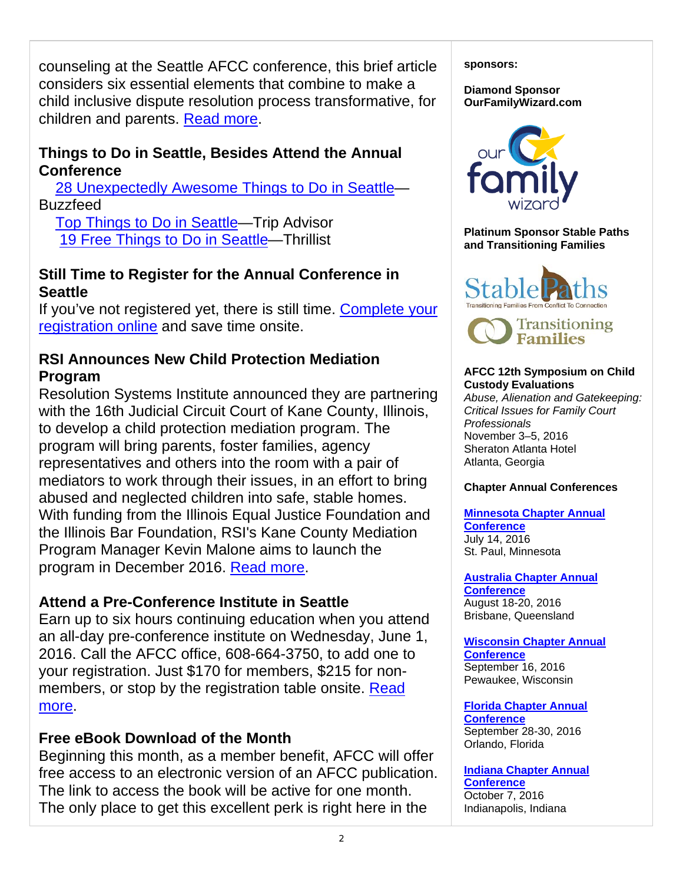counseling at the Seattle AFCC conference, this brief article considers six essential elements that combine to make a child inclusive dispute resolution process transformative, for children and parents. Read more.

## **Things to Do in Seattle, Besides Attend the Annual Conference**

 28 Unexpectedly Awesome Things to Do in Seattle— **Buzzfeed** 

 Top Things to Do in Seattle—Trip Advisor 19 Free Things to Do in Seattle—Thrillist

### **Still Time to Register for the Annual Conference in Seattle**

If you've not registered yet, there is still time. Complete your registration online and save time onsite.

## **RSI Announces New Child Protection Mediation Program**

Resolution Systems Institute announced they are partnering with the 16th Judicial Circuit Court of Kane County, Illinois, to develop a child protection mediation program. The program will bring parents, foster families, agency representatives and others into the room with a pair of mediators to work through their issues, in an effort to bring abused and neglected children into safe, stable homes. With funding from the Illinois Equal Justice Foundation and the Illinois Bar Foundation, RSI's Kane County Mediation Program Manager Kevin Malone aims to launch the program in December 2016. Read more.

## **Attend a Pre-Conference Institute in Seattle**

Earn up to six hours continuing education when you attend an all-day pre-conference institute on Wednesday, June 1, 2016. Call the AFCC office, 608-664-3750, to add one to your registration. Just \$170 for members, \$215 for nonmembers, or stop by the registration table onsite. Read more.

### **Free eBook Download of the Month**

Beginning this month, as a member benefit, AFCC will offer free access to an electronic version of an AFCC publication. The link to access the book will be active for one month. The only place to get this excellent perk is right here in the

**sponsors:** 

**Diamond Sponsor OurFamilyWizard.com** 



**Platinum Sponsor Stable Paths and Transitioning Families** 





#### **AFCC 12th Symposium on Child Custody Evaluations**

*Abuse, Alienation and Gatekeeping: Critical Issues for Family Court Professionals* November 3–5, 2016 Sheraton Atlanta Hotel Atlanta, Georgia

### **Chapter Annual Conferences**

**Minnesota Chapter Annual Conference**  July 14, 2016 St. Paul, Minnesota

**Australia Chapter Annual Conference**  August 18-20, 2016 Brisbane, Queensland

**Wisconsin Chapter Annual Conference**  September 16, 2016 Pewaukee, Wisconsin

**Florida Chapter Annual Conference**  September 28-30, 2016 Orlando, Florida

**Indiana Chapter Annual Conference** 

October 7, 2016 Indianapolis, Indiana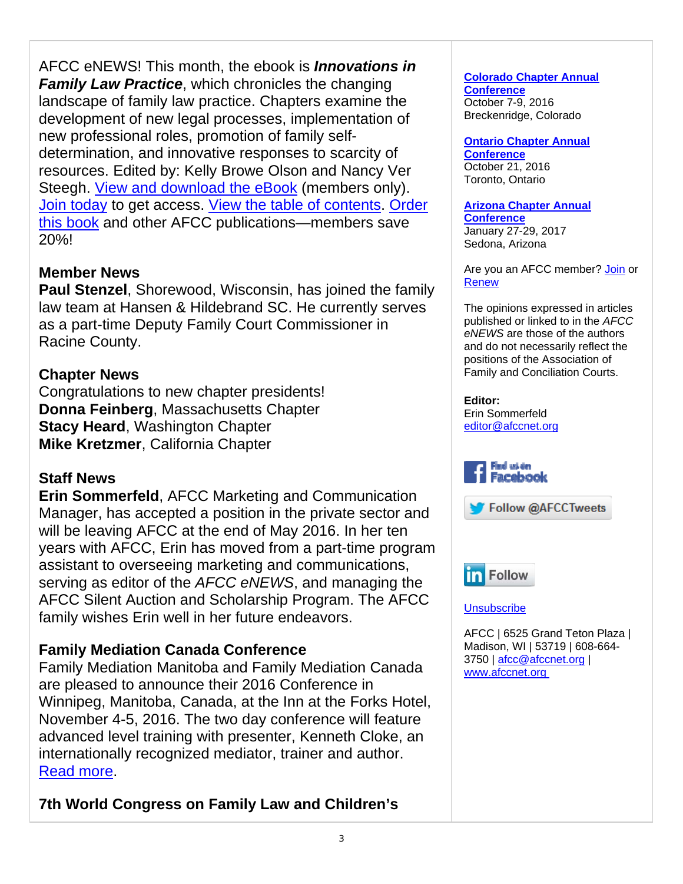AFCC eNEWS! This month, the ebook is *Innovations in Family Law Practice, which chronicles the changing* landscape of family law practice. Chapters examine the development of new legal processes, implementation of new professional roles, promotion of family selfdetermination, and innovative responses to scarcity of resources. Edited by: Kelly Browe Olson and Nancy Ver Steegh. View and download the eBook (members only). Join today to get access. View the table of contents. Order this book and other AFCC publications—members save 20%!

## **Member News**

**Paul Stenzel**, Shorewood, Wisconsin, has joined the family law team at Hansen & Hildebrand SC. He currently serves as a part-time Deputy Family Court Commissioner in Racine County.

## **Chapter News**

Congratulations to new chapter presidents! **Donna Feinberg**, Massachusetts Chapter **Stacy Heard**, Washington Chapter **Mike Kretzmer**, California Chapter

## **Staff News**

**Erin Sommerfeld**, AFCC Marketing and Communication Manager, has accepted a position in the private sector and will be leaving AFCC at the end of May 2016. In her ten years with AFCC, Erin has moved from a part-time program assistant to overseeing marketing and communications, serving as editor of the *AFCC eNEWS*, and managing the AFCC Silent Auction and Scholarship Program. The AFCC family wishes Erin well in her future endeavors.

## **Family Mediation Canada Conference**

Family Mediation Manitoba and Family Mediation Canada are pleased to announce their 2016 Conference in Winnipeg, Manitoba, Canada, at the Inn at the Forks Hotel, November 4-5, 2016. The two day conference will feature advanced level training with presenter, Kenneth Cloke, an internationally recognized mediator, trainer and author. Read more.

## **7th World Congress on Family Law and Children's**

#### **Colorado Chapter Annual Conference**  October 7-9, 2016 Breckenridge, Colorado

#### **Ontario Chapter Annual**

**Conference**  October 21, 2016 Toronto, Ontario

#### **Arizona Chapter Annual Conference**

January 27-29, 2017 Sedona, Arizona

Are you an AFCC member? Join or Renew

The opinions expressed in articles published or linked to in the *AFCC eNEWS* are those of the authors and do not necessarily reflect the positions of the Association of Family and Conciliation Courts.

**Editor:**  Erin Sommerfeld editor@afccnet.org







**Unsubscribe** 

AFCC | 6525 Grand Teton Plaza | Madison, WI | 53719 | 608-664- 3750 | afcc@afccnet.org | www.afccnet.org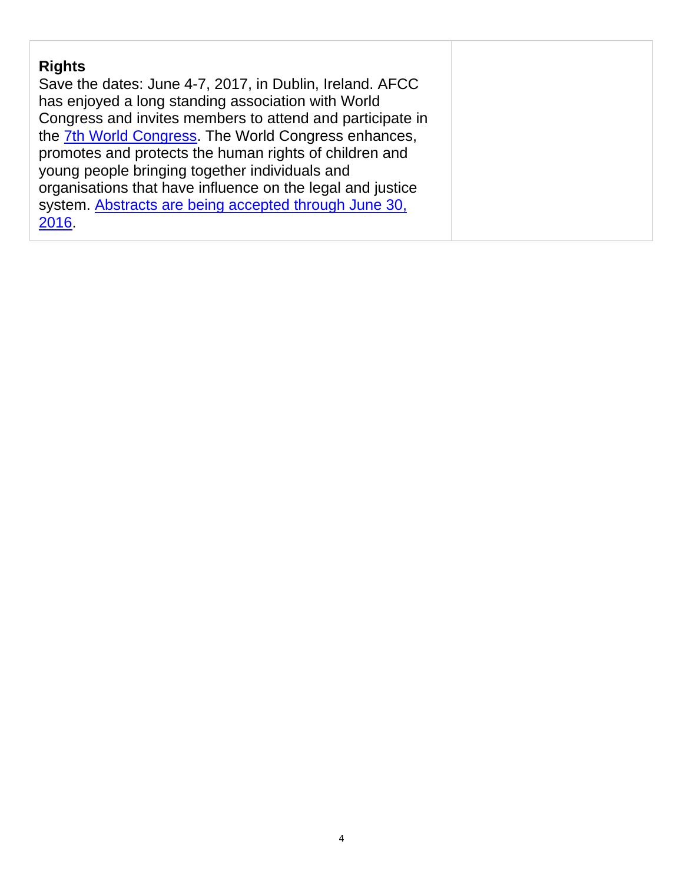| <b>Rights</b>                                              |
|------------------------------------------------------------|
| Save the dates: June 4-7, 2017, in Dublin, Ireland. AFCC   |
| has enjoyed a long standing association with World         |
| Congress and invites members to attend and participate in  |
| the 7th World Congress. The World Congress enhances,       |
| promotes and protects the human rights of children and     |
| young people bringing together individuals and             |
| organisations that have influence on the legal and justice |
| system. Abstracts are being accepted through June 30,      |
| 2016.                                                      |
|                                                            |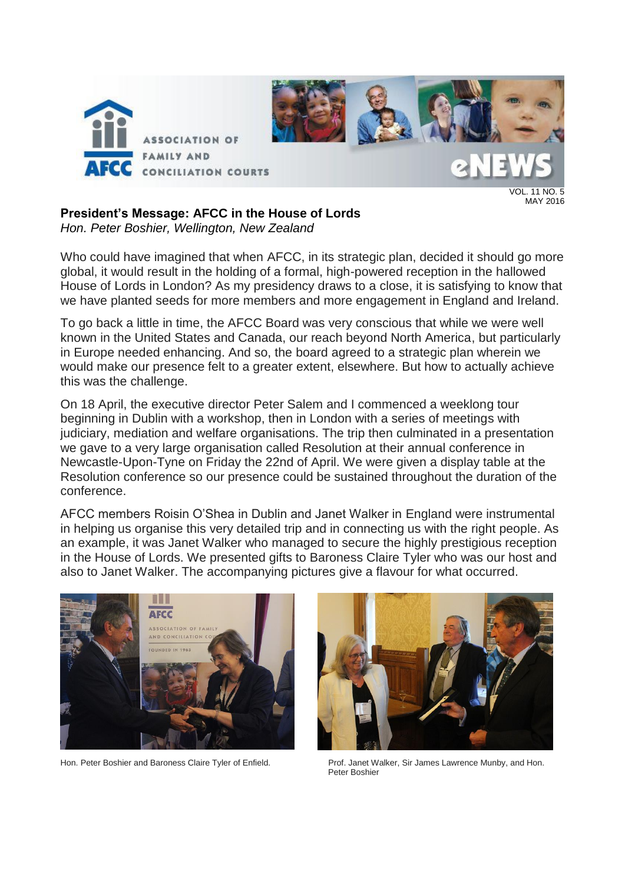

VOL. 11 NO. 5 MAY 2016

## **President's Message: AFCC in the House of Lords**

*Hon. Peter Boshier, Wellington, New Zealand*

Who could have imagined that when AFCC, in its strategic plan, decided it should go more global, it would result in the holding of a formal, high-powered reception in the hallowed House of Lords in London? As my presidency draws to a close, it is satisfying to know that we have planted seeds for more members and more engagement in England and Ireland.

To go back a little in time, the AFCC Board was very conscious that while we were well known in the United States and Canada, our reach beyond North America, but particularly in Europe needed enhancing. And so, the board agreed to a strategic plan wherein we would make our presence felt to a greater extent, elsewhere. But how to actually achieve this was the challenge.

On 18 April, the executive director Peter Salem and I commenced a weeklong tour beginning in Dublin with a workshop, then in London with a series of meetings with judiciary, mediation and welfare organisations. The trip then culminated in a presentation we gave to a very large organisation called Resolution at their annual conference in Newcastle-Upon-Tyne on Friday the 22nd of April. We were given a display table at the Resolution conference so our presence could be sustained throughout the duration of the conference.

AFCC members Roisin O'Shea in Dublin and Janet Walker in England were instrumental in helping us organise this very detailed trip and in connecting us with the right people. As an example, it was Janet Walker who managed to secure the highly prestigious reception in the House of Lords. We presented gifts to Baroness Claire Tyler who was our host and also to Janet Walker. The accompanying pictures give a flavour for what occurred.





Hon. Peter Boshier and Baroness Claire Tyler of Enfield. Prof. Janet Walker, Sir James Lawrence Munby, and Hon. Peter Boshier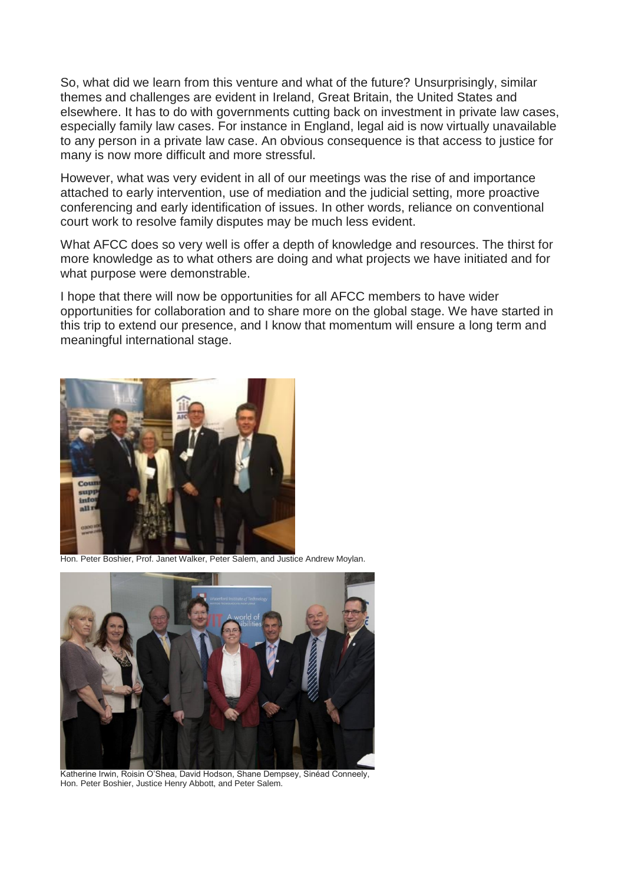So, what did we learn from this venture and what of the future? Unsurprisingly, similar themes and challenges are evident in Ireland, Great Britain, the United States and elsewhere. It has to do with governments cutting back on investment in private law cases, especially family law cases. For instance in England, legal aid is now virtually unavailable to any person in a private law case. An obvious consequence is that access to justice for many is now more difficult and more stressful.

However, what was very evident in all of our meetings was the rise of and importance attached to early intervention, use of mediation and the judicial setting, more proactive conferencing and early identification of issues. In other words, reliance on conventional court work to resolve family disputes may be much less evident.

What AFCC does so very well is offer a depth of knowledge and resources. The thirst for more knowledge as to what others are doing and what projects we have initiated and for what purpose were demonstrable.

I hope that there will now be opportunities for all AFCC members to have wider opportunities for collaboration and to share more on the global stage. We have started in this trip to extend our presence, and I know that momentum will ensure a long term and meaningful international stage.



Hon. Peter Boshier, Prof. Janet Walker, Peter Salem, and Justice Andrew Moylan.



Katherine Irwin, Roisin O'Shea, David Hodson, Shane Dempsey, Sinéad Conneely, Hon. Peter Boshier, Justice Henry Abbott, and Peter Salem.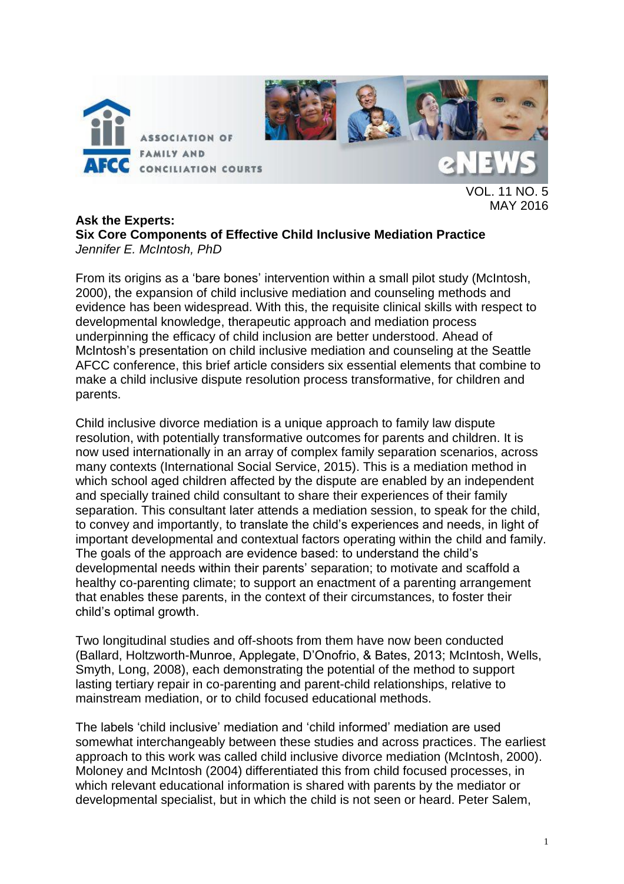



VOL. 11 NO. 5 MAY 2016

#### **Ask the Experts: Six Core Components of Effective Child Inclusive Mediation Practice** *Jennifer E. McIntosh, PhD*

From its origins as a 'bare bones' intervention within a small pilot study (McIntosh, 2000), the expansion of child inclusive mediation and counseling methods and evidence has been widespread. With this, the requisite clinical skills with respect to developmental knowledge, therapeutic approach and mediation process underpinning the efficacy of child inclusion are better understood. Ahead of McIntosh's presentation on child inclusive mediation and counseling at the Seattle AFCC conference, this brief article considers six essential elements that combine to make a child inclusive dispute resolution process transformative, for children and parents.

Child inclusive divorce mediation is a unique approach to family law dispute resolution, with potentially transformative outcomes for parents and children. It is now used internationally in an array of complex family separation scenarios, across many contexts (International Social Service, 2015). This is a mediation method in which school aged children affected by the dispute are enabled by an independent and specially trained child consultant to share their experiences of their family separation. This consultant later attends a mediation session, to speak for the child, to convey and importantly, to translate the child's experiences and needs, in light of important developmental and contextual factors operating within the child and family. The goals of the approach are evidence based: to understand the child's developmental needs within their parents' separation; to motivate and scaffold a healthy co-parenting climate; to support an enactment of a parenting arrangement that enables these parents, in the context of their circumstances, to foster their child's optimal growth.

Two longitudinal studies and off-shoots from them have now been conducted (Ballard, Holtzworth-Munroe, Applegate, D'Onofrio, & Bates, 2013; McIntosh, Wells, Smyth, Long, 2008), each demonstrating the potential of the method to support lasting tertiary repair in co-parenting and parent-child relationships, relative to mainstream mediation, or to child focused educational methods.

The labels 'child inclusive' mediation and 'child informed' mediation are used somewhat interchangeably between these studies and across practices. The earliest approach to this work was called child inclusive divorce mediation (McIntosh, 2000). Moloney and McIntosh (2004) differentiated this from child focused processes, in which relevant educational information is shared with parents by the mediator or developmental specialist, but in which the child is not seen or heard. Peter Salem,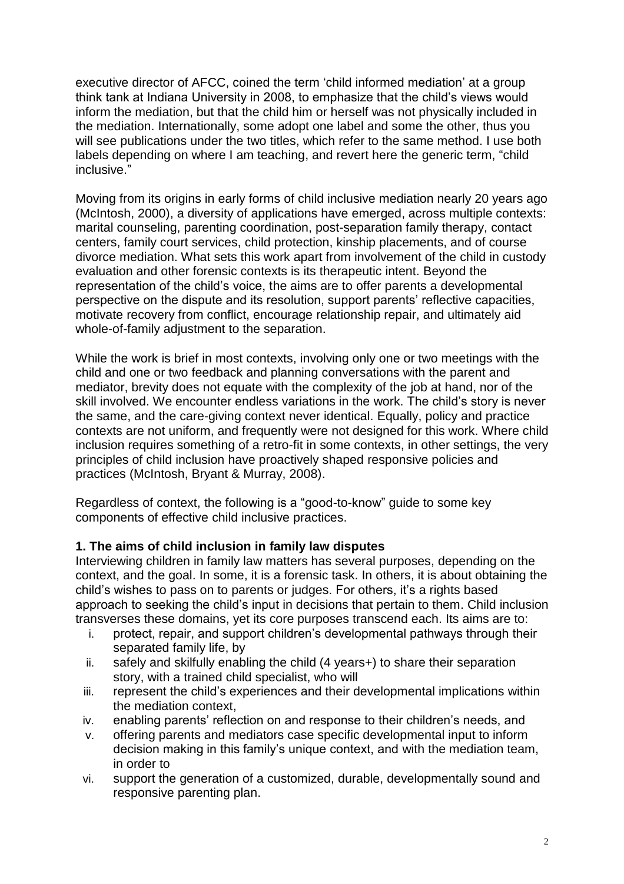executive director of AFCC, coined the term 'child informed mediation' at a group think tank at Indiana University in 2008, to emphasize that the child's views would inform the mediation, but that the child him or herself was not physically included in the mediation. Internationally, some adopt one label and some the other, thus you will see publications under the two titles, which refer to the same method. I use both labels depending on where I am teaching, and revert here the generic term, "child inclusive."

Moving from its origins in early forms of child inclusive mediation nearly 20 years ago (McIntosh, 2000), a diversity of applications have emerged, across multiple contexts: marital counseling, parenting coordination, post-separation family therapy, contact centers, family court services, child protection, kinship placements, and of course divorce mediation. What sets this work apart from involvement of the child in custody evaluation and other forensic contexts is its therapeutic intent. Beyond the representation of the child's voice, the aims are to offer parents a developmental perspective on the dispute and its resolution, support parents' reflective capacities, motivate recovery from conflict, encourage relationship repair, and ultimately aid whole-of-family adjustment to the separation.

While the work is brief in most contexts, involving only one or two meetings with the child and one or two feedback and planning conversations with the parent and mediator, brevity does not equate with the complexity of the job at hand, nor of the skill involved. We encounter endless variations in the work. The child's story is never the same, and the care-giving context never identical. Equally, policy and practice contexts are not uniform, and frequently were not designed for this work. Where child inclusion requires something of a retro-fit in some contexts, in other settings, the very principles of child inclusion have proactively shaped responsive policies and practices (McIntosh, Bryant & Murray, 2008).

Regardless of context, the following is a "good-to-know" guide to some key components of effective child inclusive practices.

### **1. The aims of child inclusion in family law disputes**

Interviewing children in family law matters has several purposes, depending on the context, and the goal. In some, it is a forensic task. In others, it is about obtaining the child's wishes to pass on to parents or judges. For others, it's a rights based approach to seeking the child's input in decisions that pertain to them. Child inclusion transverses these domains, yet its core purposes transcend each. Its aims are to:

- i. protect, repair, and support children's developmental pathways through their separated family life, by
- ii. safely and skilfully enabling the child (4 years+) to share their separation story, with a trained child specialist, who will
- iii. represent the child's experiences and their developmental implications within the mediation context,
- iv. enabling parents' reflection on and response to their children's needs, and
- v. offering parents and mediators case specific developmental input to inform decision making in this family's unique context, and with the mediation team, in order to
- vi. support the generation of a customized, durable, developmentally sound and responsive parenting plan.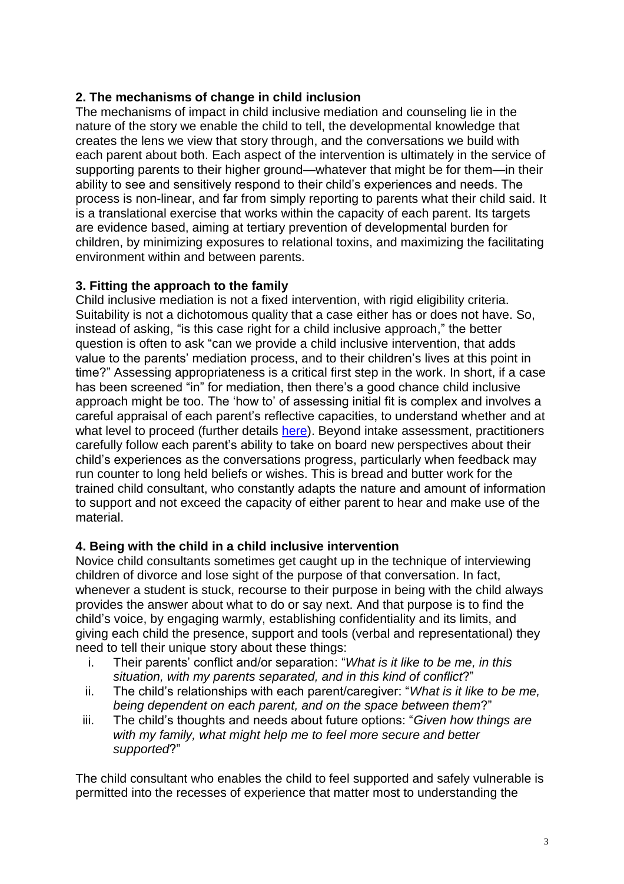### **2. The mechanisms of change in child inclusion**

The mechanisms of impact in child inclusive mediation and counseling lie in the nature of the story we enable the child to tell, the developmental knowledge that creates the lens we view that story through, and the conversations we build with each parent about both. Each aspect of the intervention is ultimately in the service of supporting parents to their higher ground—whatever that might be for them—in their ability to see and sensitively respond to their child's experiences and needs. The process is non-linear, and far from simply reporting to parents what their child said. It is a translational exercise that works within the capacity of each parent. Its targets are evidence based, aiming at tertiary prevention of developmental burden for children, by minimizing exposures to relational toxins, and maximizing the facilitating environment within and between parents.

### **3. Fitting the approach to the family**

Child inclusive mediation is not a fixed intervention, with rigid eligibility criteria. Suitability is not a dichotomous quality that a case either has or does not have. So, instead of asking, "is this case right for a child inclusive approach," the better question is often to ask "can we provide a child inclusive intervention, that adds value to the parents' mediation process, and to their children's lives at this point in time?" Assessing appropriateness is a critical first step in the work. In short, if a case has been screened "in" for mediation, then there's a good chance child inclusive approach might be too. The 'how to' of assessing initial fit is complex and involves a careful appraisal of each parent's reflective capacities, to understand whether and at what level to proceed (further details [here\)](http://childrenbeyonddispute.com/child-inclusive-mediation). Beyond intake assessment, practitioners carefully follow each parent's ability to take on board new perspectives about their child's experiences as the conversations progress, particularly when feedback may run counter to long held beliefs or wishes. This is bread and butter work for the trained child consultant, who constantly adapts the nature and amount of information to support and not exceed the capacity of either parent to hear and make use of the material.

### **4. Being with the child in a child inclusive intervention**

Novice child consultants sometimes get caught up in the technique of interviewing children of divorce and lose sight of the purpose of that conversation. In fact, whenever a student is stuck, recourse to their purpose in being with the child always provides the answer about what to do or say next. And that purpose is to find the child's voice, by engaging warmly, establishing confidentiality and its limits, and giving each child the presence, support and tools (verbal and representational) they need to tell their unique story about these things:

- i. Their parents' conflict and/or separation: "*What is it like to be me, in this situation, with my parents separated, and in this kind of conflict*?"
- ii. The child's relationships with each parent/caregiver: "*What is it like to be me, being dependent on each parent, and on the space between them*?"
- iii. The child's thoughts and needs about future options: "*Given how things are with my family, what might help me to feel more secure and better supported*?"

The child consultant who enables the child to feel supported and safely vulnerable is permitted into the recesses of experience that matter most to understanding the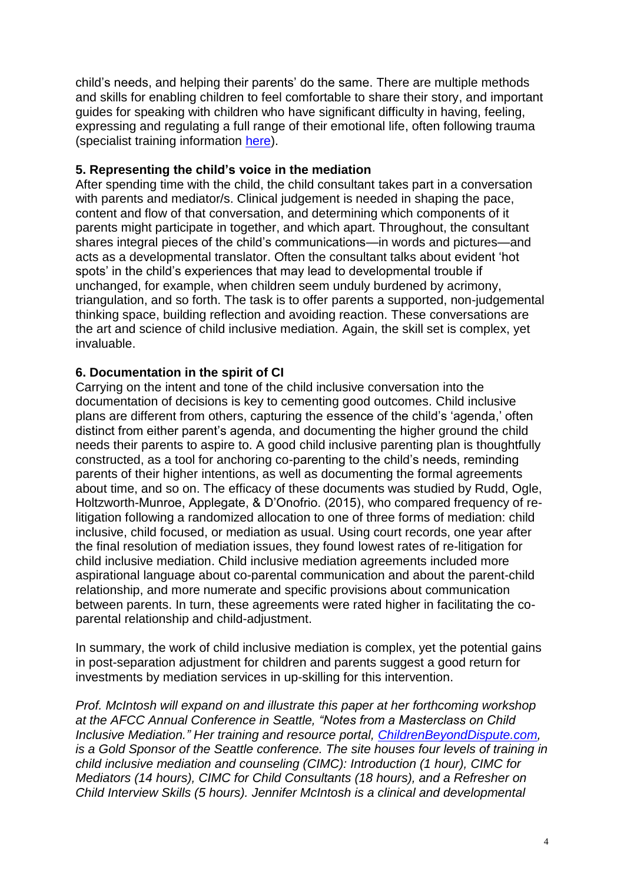child's needs, and helping their parents' do the same. There are multiple methods and skills for enabling children to feel comfortable to share their story, and important guides for speaking with children who have significant difficulty in having, feeling, expressing and regulating a full range of their emotional life, often following trauma (specialist training information [here\)](http://childrenbeyonddispute.com/child-inclusive-mediation/about-the-course/).

### **5. Representing the child's voice in the mediation**

After spending time with the child, the child consultant takes part in a conversation with parents and mediator/s. Clinical judgement is needed in shaping the pace, content and flow of that conversation, and determining which components of it parents might participate in together, and which apart. Throughout, the consultant shares integral pieces of the child's communications—in words and pictures—and acts as a developmental translator. Often the consultant talks about evident 'hot spots' in the child's experiences that may lead to developmental trouble if unchanged, for example, when children seem unduly burdened by acrimony, triangulation, and so forth. The task is to offer parents a supported, non-judgemental thinking space, building reflection and avoiding reaction. These conversations are the art and science of child inclusive mediation. Again, the skill set is complex, yet invaluable.

### **6. Documentation in the spirit of CI**

Carrying on the intent and tone of the child inclusive conversation into the documentation of decisions is key to cementing good outcomes. Child inclusive plans are different from others, capturing the essence of the child's 'agenda,' often distinct from either parent's agenda, and documenting the higher ground the child needs their parents to aspire to. A good child inclusive parenting plan is thoughtfully constructed, as a tool for anchoring co-parenting to the child's needs, reminding parents of their higher intentions, as well as documenting the formal agreements about time, and so on. The efficacy of these documents was studied by Rudd, Ogle, Holtzworth-Munroe, Applegate, & D'Onofrio. (2015), who compared frequency of relitigation following a randomized allocation to one of three forms of mediation: child inclusive, child focused, or mediation as usual. Using court records, one year after the final resolution of mediation issues, they found lowest rates of re-litigation for child inclusive mediation. Child inclusive mediation agreements included more aspirational language about co-parental communication and about the parent-child relationship, and more numerate and specific provisions about communication between parents. In turn, these agreements were rated higher in facilitating the coparental relationship and child-adjustment.

In summary, the work of child inclusive mediation is complex, yet the potential gains in post-separation adjustment for children and parents suggest a good return for investments by mediation services in up-skilling for this intervention.

*Prof. McIntosh will expand on and illustrate this paper at her forthcoming workshop at the AFCC Annual Conference in Seattle, "Notes from a Masterclass on Child Inclusive Mediation." Her training and resource portal, [ChildrenBeyondDispute.com,](http://www.childrenbeyonddispute.com/) is a Gold Sponsor of the Seattle conference. The site houses four levels of training in child inclusive mediation and counseling (CIMC): Introduction (1 hour), CIMC for Mediators (14 hours), CIMC for Child Consultants (18 hours), and a Refresher on Child Interview Skills (5 hours). Jennifer McIntosh is a clinical and developmental*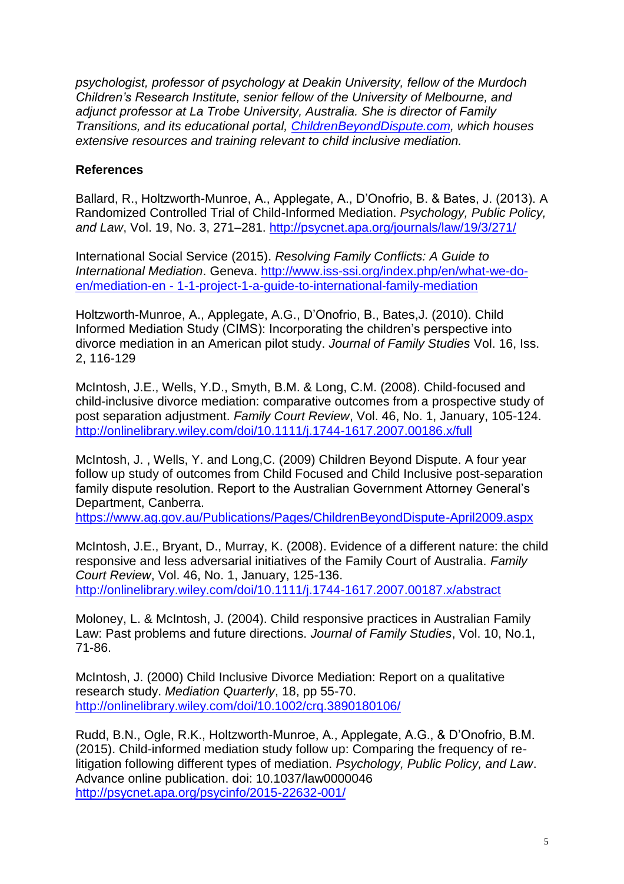*psychologist, professor of psychology at Deakin University, fellow of the Murdoch Children's Research Institute, senior fellow of the University of Melbourne, and adjunct professor at La Trobe University, Australia. She is director of Family Transitions, and its educational portal, [ChildrenBeyondDispute.com,](http://www.childrenbeyonddispute.com/) which houses extensive resources and training relevant to child inclusive mediation.*

### **References**

Ballard, R., Holtzworth-Munroe, A., Applegate, A., D'Onofrio, B. & Bates, J. (2013). A Randomized Controlled Trial of Child-Informed Mediation. *Psychology, Public Policy, and Law*, Vol. 19, No. 3, 271–281.<http://psycnet.apa.org/journals/law/19/3/271/>

International Social Service (2015). *Resolving Family Conflicts: A Guide to International Mediation*. Geneva. [http://www.iss-ssi.org/index.php/en/what-we-do](http://www.iss-ssi.org/index.php/en/what-we-do-en/mediation-en%20-%201-1-project-1-a-guide-to-international-family-mediation)en/mediation-en - [1-1-project-1-a-guide-to-international-family-mediation](http://www.iss-ssi.org/index.php/en/what-we-do-en/mediation-en%20-%201-1-project-1-a-guide-to-international-family-mediation)

Holtzworth-Munroe, A., Applegate, A.G., D'Onofrio, B., Bates,J. (2010). [Child](http://www.tandfonline.com/doi/abs/10.5172/jfs.16.2.116)  [Informed Mediation Study \(CIMS\): Incorporating the children's perspective into](http://www.tandfonline.com/doi/abs/10.5172/jfs.16.2.116)  [divorce mediation in an American pilot study.](http://www.tandfonline.com/doi/abs/10.5172/jfs.16.2.116) *[Journal of Family Studies](http://www.tandfonline.com/toc/rjfs20/16/2)* Vol. 16, Iss. 2, 116-129

McIntosh, J.E., Wells, Y.D., Smyth, B.M. & Long, C.M. (2008). Child-focused and child-inclusive divorce mediation: comparative outcomes from a prospective study of post separation adjustment. *Family Court Review*, Vol. 46, No. 1, January, 105-124. <http://onlinelibrary.wiley.com/doi/10.1111/j.1744-1617.2007.00186.x/full>

McIntosh, J. , Wells, Y. and Long,C. (2009) Children Beyond Dispute. A four year follow up study of outcomes from Child Focused and Child Inclusive post-separation family dispute resolution. Report to the Australian Government Attorney General's Department, Canberra.

<https://www.ag.gov.au/Publications/Pages/ChildrenBeyondDispute-April2009.aspx>

McIntosh, J.E., Bryant, D., Murray, K. (2008). Evidence of a different nature: the child responsive and less adversarial initiatives of the Family Court of Australia. *Family Court Review*, Vol. 46, No. 1, January, 125-136. <http://onlinelibrary.wiley.com/doi/10.1111/j.1744-1617.2007.00187.x/abstract>

Moloney, L. & McIntosh, J. (2004). Child responsive practices in Australian Family Law: Past problems and future directions. *Journal of Family Studies*, Vol. 10, No.1, 71-86.

McIntosh, J. (2000) Child Inclusive Divorce Mediation: Report on a qualitative research study. *Mediation Quarterly*, 18, pp 55-70. <http://onlinelibrary.wiley.com/doi/10.1002/crq.3890180106/>

Rudd, B.N., Ogle, R.K., Holtzworth-Munroe, A., Applegate, A.G., & D'Onofrio, B.M. (2015). Child-informed mediation study follow up: Comparing the frequency of relitigation following different types of mediation. *Psychology, Public Policy, and Law*. Advance online publication. doi: 10.1037/law0000046 <http://psycnet.apa.org/psycinfo/2015-22632-001/>